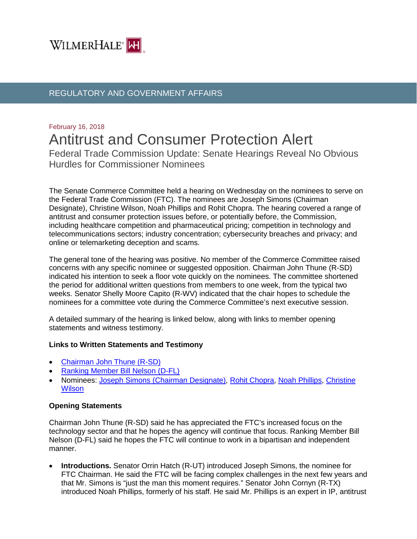

## REGULATORY AND GOVERNMENT AFFAIRS

# February 16, 2018 Antitrust and Consumer Protection Alert

Federal Trade Commission Update: Senate Hearings Reveal No Obvious Hurdles for Commissioner Nominees

The Senate Commerce Committee held a hearing on Wednesday on the nominees to serve on the Federal Trade Commission (FTC). The nominees are Joseph Simons (Chairman Designate), Christine Wilson, Noah Phillips and Rohit Chopra. The hearing covered a range of antitrust and consumer protection issues before, or potentially before, the Commission, including healthcare competition and pharmaceutical pricing; competition in technology and telecommunications sectors; industry concentration; cybersecurity breaches and privacy; and online or telemarketing deception and scams.

The general tone of the hearing was positive. No member of the Commerce Committee raised concerns with any specific nominee or suggested opposition. Chairman John Thune (R-SD) indicated his intention to seek a floor vote quickly on the nominees. The committee shortened the period for additional written questions from members to one week, from the typical two weeks. Senator Shelly Moore Capito (R-WV) indicated that the chair hopes to schedule the nominees for a committee vote during the Commerce Committee's next executive session.

A detailed summary of the hearing is linked below, along with links to member opening statements and witness testimony.

## **Links to Written Statements and Testimony**

- [Chairman John Thune \(R-SD\)](https://www.commerce.senate.gov/public/index.cfm/hearings?Id=EECF6964-F8DC-469E-AEB2-D7C16182A0E8&Statement_id=40BC2E76-FD9D-41C3-AFD9-CCECAC3D7D53)
- [Ranking Member Bill Nelson \(D-FL\)](https://www.commerce.senate.gov/public/index.cfm/hearings?Id=EECF6964-F8DC-469E-AEB2-D7C16182A0E8&Statement_id=15CB2CB1-1AD3-4692-90D3-B5BA2181A236)
- Nominees: [Joseph Simons \(Chairman Designate\),](https://www.commerce.senate.gov/public/_cache/files/b5e99685-1575-499a-bc38-aeffca099a40/3AEA45988F54EFA0F6F5249A65C2EE4A.joseph-simons---ftc-nominee---prepared-statement-2.14.18.pdf) [Rohit Chopra,](https://www.commerce.senate.gov/public/_cache/files/40e80187-d7d3-460c-a0bc-23f0da7f1385/38CEAADC31486F58C470F3C8C25B467E.rohit-chopra---ftc-nominee---prepared-statement-2.14.18-002-.pdf) [Noah Phillips,](https://www.commerce.senate.gov/public/_cache/files/6c03cdde-d9b0-44bb-ad77-1dae741a7253/5809BAAA4D041FD76F05D1537CF03010.noah-phillips---ftc-nominee---prepared-statement-2.14.18-002-.pdf) [Christine](https://www.commerce.senate.gov/public/_cache/files/702e3e69-db95-4b8f-8b50-152ca06c2221/5EDEA1598EF8A02AF5EF25CF270A0213.christine-wilson---ftc-nominee---prepared-statement-2.14.18.pdf)  **[Wilson](https://www.commerce.senate.gov/public/_cache/files/702e3e69-db95-4b8f-8b50-152ca06c2221/5EDEA1598EF8A02AF5EF25CF270A0213.christine-wilson---ftc-nominee---prepared-statement-2.14.18.pdf)**

## **Opening Statements**

Chairman John Thune (R-SD) said he has appreciated the FTC's increased focus on the technology sector and that he hopes the agency will continue that focus. Ranking Member Bill Nelson (D-FL) said he hopes the FTC will continue to work in a bipartisan and independent manner.

• **Introductions.** Senator Orrin Hatch (R-UT) introduced Joseph Simons, the nominee for FTC Chairman. He said the FTC will be facing complex challenges in the next few years and that Mr. Simons is "just the man this moment requires." Senator John Cornyn (R-TX) introduced Noah Phillips, formerly of his staff. He said Mr. Phillips is an expert in IP, antitrust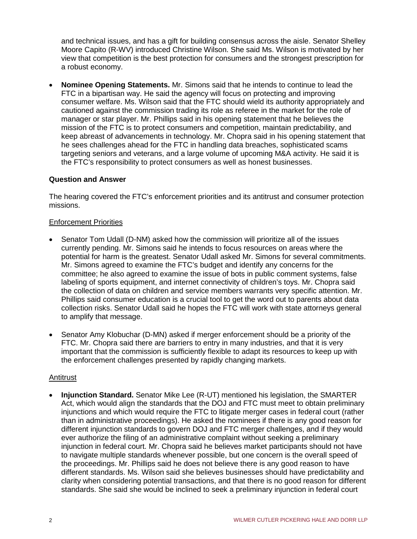and technical issues, and has a gift for building consensus across the aisle. Senator Shelley Moore Capito (R-WV) introduced Christine Wilson. She said Ms. Wilson is motivated by her view that competition is the best protection for consumers and the strongest prescription for a robust economy.

• **Nominee Opening Statements.** Mr. Simons said that he intends to continue to lead the FTC in a bipartisan way. He said the agency will focus on protecting and improving consumer welfare. Ms. Wilson said that the FTC should wield its authority appropriately and cautioned against the commission trading its role as referee in the market for the role of manager or star player. Mr. Phillips said in his opening statement that he believes the mission of the FTC is to protect consumers and competition, maintain predictability, and keep abreast of advancements in technology. Mr. Chopra said in his opening statement that he sees challenges ahead for the FTC in handling data breaches, sophisticated scams targeting seniors and veterans, and a large volume of upcoming M&A activity. He said it is the FTC's responsibility to protect consumers as well as honest businesses.

## **Question and Answer**

The hearing covered the FTC's enforcement priorities and its antitrust and consumer protection missions.

## Enforcement Priorities

- Senator Tom Udall (D-NM) asked how the commission will prioritize all of the issues currently pending. Mr. Simons said he intends to focus resources on areas where the potential for harm is the greatest. Senator Udall asked Mr. Simons for several commitments. Mr. Simons agreed to examine the FTC's budget and identify any concerns for the committee; he also agreed to examine the issue of bots in public comment systems, false labeling of sports equipment, and internet connectivity of children's toys. Mr. Chopra said the collection of data on children and service members warrants very specific attention. Mr. Phillips said consumer education is a crucial tool to get the word out to parents about data collection risks. Senator Udall said he hopes the FTC will work with state attorneys general to amplify that message.
- Senator Amy Klobuchar (D-MN) asked if merger enforcement should be a priority of the FTC. Mr. Chopra said there are barriers to entry in many industries, and that it is very important that the commission is sufficiently flexible to adapt its resources to keep up with the enforcement challenges presented by rapidly changing markets.

## Antitrust

• **Injunction Standard.** Senator Mike Lee (R-UT) mentioned his legislation, the SMARTER Act, which would align the standards that the DOJ and FTC must meet to obtain preliminary injunctions and which would require the FTC to litigate merger cases in federal court (rather than in administrative proceedings). He asked the nominees if there is any good reason for different injunction standards to govern DOJ and FTC merger challenges, and if they would ever authorize the filing of an administrative complaint without seeking a preliminary injunction in federal court. Mr. Chopra said he believes market participants should not have to navigate multiple standards whenever possible, but one concern is the overall speed of the proceedings. Mr. Phillips said he does not believe there is any good reason to have different standards. Ms. Wilson said she believes businesses should have predictability and clarity when considering potential transactions, and that there is no good reason for different standards. She said she would be inclined to seek a preliminary injunction in federal court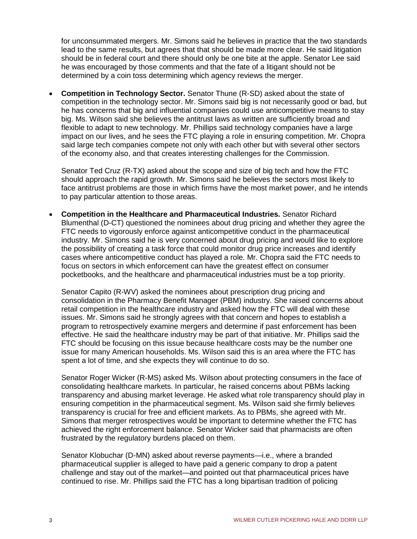for unconsummated mergers. Mr. Simons said he believes in practice that the two standards lead to the same results, but agrees that that should be made more clear. He said litigation should be in federal court and there should only be one bite at the apple. Senator Lee said he was encouraged by those comments and that the fate of a litigant should not be determined by a coin toss determining which agency reviews the merger.

• **Competition in Technology Sector.** Senator Thune (R-SD) asked about the state of competition in the technology sector. Mr. Simons said big is not necessarily good or bad, but he has concerns that big and influential companies could use anticompetitive means to stay big. Ms. Wilson said she believes the antitrust laws as written are sufficiently broad and flexible to adapt to new technology. Mr. Phillips said technology companies have a large impact on our lives, and he sees the FTC playing a role in ensuring competition. Mr. Chopra said large tech companies compete not only with each other but with several other sectors of the economy also, and that creates interesting challenges for the Commission.

Senator Ted Cruz (R-TX) asked about the scope and size of big tech and how the FTC should approach the rapid growth. Mr. Simons said he believes the sectors most likely to face antitrust problems are those in which firms have the most market power, and he intends to pay particular attention to those areas.

• **Competition in the Healthcare and Pharmaceutical Industries.** Senator Richard Blumenthal (D-CT) questioned the nominees about drug pricing and whether they agree the FTC needs to vigorously enforce against anticompetitive conduct in the pharmaceutical industry. Mr. Simons said he is very concerned about drug pricing and would like to explore the possibility of creating a task force that could monitor drug price increases and identify cases where anticompetitive conduct has played a role. Mr. Chopra said the FTC needs to focus on sectors in which enforcement can have the greatest effect on consumer pocketbooks, and the healthcare and pharmaceutical industries must be a top priority.

Senator Capito (R-WV) asked the nominees about prescription drug pricing and consolidation in the Pharmacy Benefit Manager (PBM) industry. She raised concerns about retail competition in the healthcare industry and asked how the FTC will deal with these issues. Mr. Simons said he strongly agrees with that concern and hopes to establish a program to retrospectively examine mergers and determine if past enforcement has been effective. He said the healthcare industry may be part of that initiative. Mr. Phillips said the FTC should be focusing on this issue because healthcare costs may be the number one issue for many American households. Ms. Wilson said this is an area where the FTC has spent a lot of time, and she expects they will continue to do so.

Senator Roger Wicker (R-MS) asked Ms. Wilson about protecting consumers in the face of consolidating healthcare markets. In particular, he raised concerns about PBMs lacking transparency and abusing market leverage. He asked what role transparency should play in ensuring competition in the pharmaceutical segment. Ms. Wilson said she firmly believes transparency is crucial for free and efficient markets. As to PBMs, she agreed with Mr. Simons that merger retrospectives would be important to determine whether the FTC has achieved the right enforcement balance. Senator Wicker said that pharmacists are often frustrated by the regulatory burdens placed on them.

Senator Klobuchar (D-MN) asked about reverse payments—i.e., where a branded pharmaceutical supplier is alleged to have paid a generic company to drop a patent challenge and stay out of the market—and pointed out that pharmaceutical prices have continued to rise. Mr. Phillips said the FTC has a long bipartisan tradition of policing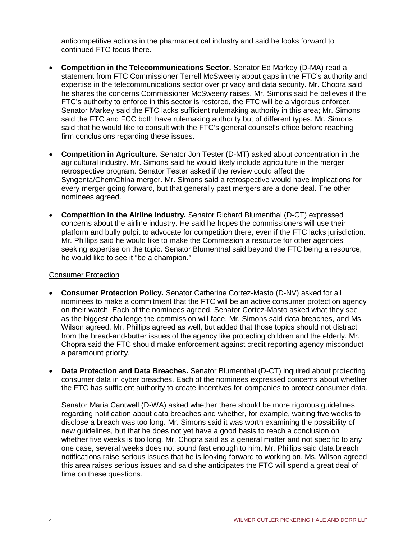anticompetitive actions in the pharmaceutical industry and said he looks forward to continued FTC focus there.

- **Competition in the Telecommunications Sector.** Senator Ed Markey (D-MA) read a statement from FTC Commissioner Terrell McSweeny about gaps in the FTC's authority and expertise in the telecommunications sector over privacy and data security. Mr. Chopra said he shares the concerns Commissioner McSweeny raises. Mr. Simons said he believes if the FTC's authority to enforce in this sector is restored, the FTC will be a vigorous enforcer. Senator Markey said the FTC lacks sufficient rulemaking authority in this area; Mr. Simons said the FTC and FCC both have rulemaking authority but of different types. Mr. Simons said that he would like to consult with the FTC's general counsel's office before reaching firm conclusions regarding these issues.
- **Competition in Agriculture.** Senator Jon Tester (D-MT) asked about concentration in the agricultural industry. Mr. Simons said he would likely include agriculture in the merger retrospective program. Senator Tester asked if the review could affect the Syngenta/ChemChina merger. Mr. Simons said a retrospective would have implications for every merger going forward, but that generally past mergers are a done deal. The other nominees agreed.
- **Competition in the Airline Industry.** Senator Richard Blumenthal (D-CT) expressed concerns about the airline industry. He said he hopes the commissioners will use their platform and bully pulpit to advocate for competition there, even if the FTC lacks jurisdiction. Mr. Phillips said he would like to make the Commission a resource for other agencies seeking expertise on the topic. Senator Blumenthal said beyond the FTC being a resource, he would like to see it "be a champion."

## Consumer Protection

- **Consumer Protection Policy.** Senator Catherine Cortez-Masto (D-NV) asked for all nominees to make a commitment that the FTC will be an active consumer protection agency on their watch. Each of the nominees agreed. Senator Cortez-Masto asked what they see as the biggest challenge the commission will face. Mr. Simons said data breaches, and Ms. Wilson agreed. Mr. Phillips agreed as well, but added that those topics should not distract from the bread-and-butter issues of the agency like protecting children and the elderly. Mr. Chopra said the FTC should make enforcement against credit reporting agency misconduct a paramount priority.
- **Data Protection and Data Breaches.** Senator Blumenthal (D-CT) inquired about protecting consumer data in cyber breaches. Each of the nominees expressed concerns about whether the FTC has sufficient authority to create incentives for companies to protect consumer data.

Senator Maria Cantwell (D-WA) asked whether there should be more rigorous guidelines regarding notification about data breaches and whether, for example, waiting five weeks to disclose a breach was too long. Mr. Simons said it was worth examining the possibility of new guidelines, but that he does not yet have a good basis to reach a conclusion on whether five weeks is too long. Mr. Chopra said as a general matter and not specific to any one case, several weeks does not sound fast enough to him. Mr. Phillips said data breach notifications raise serious issues that he is looking forward to working on. Ms. Wilson agreed this area raises serious issues and said she anticipates the FTC will spend a great deal of time on these questions.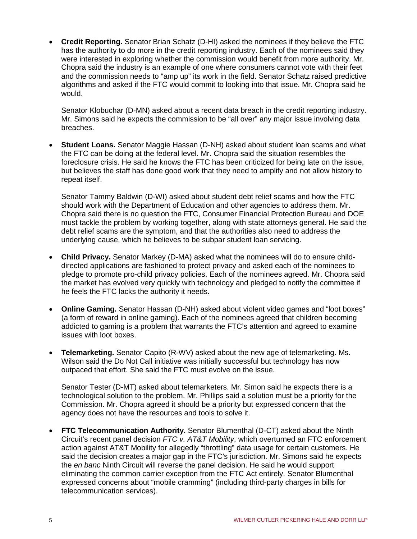• **Credit Reporting.** Senator Brian Schatz (D-HI) asked the nominees if they believe the FTC has the authority to do more in the credit reporting industry. Each of the nominees said they were interested in exploring whether the commission would benefit from more authority. Mr. Chopra said the industry is an example of one where consumers cannot vote with their feet and the commission needs to "amp up" its work in the field. Senator Schatz raised predictive algorithms and asked if the FTC would commit to looking into that issue. Mr. Chopra said he would.

Senator Klobuchar (D-MN) asked about a recent data breach in the credit reporting industry. Mr. Simons said he expects the commission to be "all over" any major issue involving data breaches.

• **Student Loans.** Senator Maggie Hassan (D-NH) asked about student loan scams and what the FTC can be doing at the federal level. Mr. Chopra said the situation resembles the foreclosure crisis. He said he knows the FTC has been criticized for being late on the issue, but believes the staff has done good work that they need to amplify and not allow history to repeat itself.

Senator Tammy Baldwin (D-WI) asked about student debt relief scams and how the FTC should work with the Department of Education and other agencies to address them. Mr. Chopra said there is no question the FTC, Consumer Financial Protection Bureau and DOE must tackle the problem by working together, along with state attorneys general. He said the debt relief scams are the symptom, and that the authorities also need to address the underlying cause, which he believes to be subpar student loan servicing.

- **Child Privacy.** Senator Markey (D-MA) asked what the nominees will do to ensure childdirected applications are fashioned to protect privacy and asked each of the nominees to pledge to promote pro-child privacy policies. Each of the nominees agreed. Mr. Chopra said the market has evolved very quickly with technology and pledged to notify the committee if he feels the FTC lacks the authority it needs.
- **Online Gaming.** Senator Hassan (D-NH) asked about violent video games and "loot boxes" (a form of reward in online gaming). Each of the nominees agreed that children becoming addicted to gaming is a problem that warrants the FTC's attention and agreed to examine issues with loot boxes.
- **Telemarketing.** Senator Capito (R-WV) asked about the new age of telemarketing. Ms. Wilson said the Do Not Call initiative was initially successful but technology has now outpaced that effort. She said the FTC must evolve on the issue.

Senator Tester (D-MT) asked about telemarketers. Mr. Simon said he expects there is a technological solution to the problem. Mr. Phillips said a solution must be a priority for the Commission. Mr. Chopra agreed it should be a priority but expressed concern that the agency does not have the resources and tools to solve it.

• **FTC Telecommunication Authority.** Senator Blumenthal (D-CT) asked about the Ninth Circuit's recent panel decision *FTC v. AT&T Mobility*, which overturned an FTC enforcement action against AT&T Mobility for allegedly "throttling" data usage for certain customers. He said the decision creates a major gap in the FTC's jurisdiction. Mr. Simons said he expects the *en banc* Ninth Circuit will reverse the panel decision. He said he would support eliminating the common carrier exception from the FTC Act entirely. Senator Blumenthal expressed concerns about "mobile cramming" (including third-party charges in bills for telecommunication services).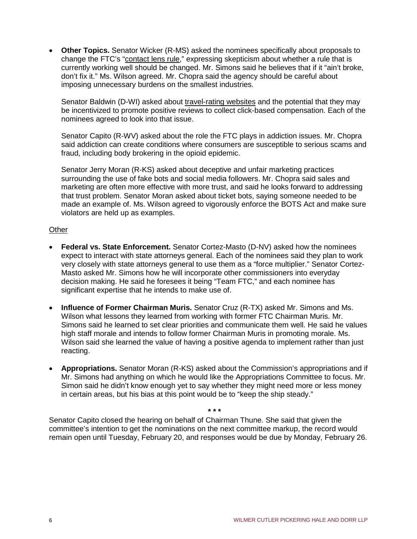• **Other Topics.** Senator Wicker (R-MS) asked the nominees specifically about proposals to change the FTC's "contact lens rule," expressing skepticism about whether a rule that is currently working well should be changed. Mr. Simons said he believes that if it "ain't broke, don't fix it." Ms. Wilson agreed. Mr. Chopra said the agency should be careful about imposing unnecessary burdens on the smallest industries.

Senator Baldwin (D-WI) asked about travel-rating websites and the potential that they may be incentivized to promote positive reviews to collect click-based compensation. Each of the nominees agreed to look into that issue.

Senator Capito (R-WV) asked about the role the FTC plays in addiction issues. Mr. Chopra said addiction can create conditions where consumers are susceptible to serious scams and fraud, including body brokering in the opioid epidemic.

Senator Jerry Moran (R-KS) asked about deceptive and unfair marketing practices surrounding the use of fake bots and social media followers. Mr. Chopra said sales and marketing are often more effective with more trust, and said he looks forward to addressing that trust problem. Senator Moran asked about ticket bots, saying someone needed to be made an example of. Ms. Wilson agreed to vigorously enforce the BOTS Act and make sure violators are held up as examples.

## **Other**

- **Federal vs. State Enforcement.** Senator Cortez-Masto (D-NV) asked how the nominees expect to interact with state attorneys general. Each of the nominees said they plan to work very closely with state attorneys general to use them as a "force multiplier." Senator Cortez-Masto asked Mr. Simons how he will incorporate other commissioners into everyday decision making. He said he foresees it being "Team FTC," and each nominee has significant expertise that he intends to make use of.
- **Influence of Former Chairman Muris.** Senator Cruz (R-TX) asked Mr. Simons and Ms. Wilson what lessons they learned from working with former FTC Chairman Muris. Mr. Simons said he learned to set clear priorities and communicate them well. He said he values high staff morale and intends to follow former Chairman Muris in promoting morale. Ms. Wilson said she learned the value of having a positive agenda to implement rather than just reacting.
- **Appropriations.** Senator Moran (R-KS) asked about the Commission's appropriations and if Mr. Simons had anything on which he would like the Appropriations Committee to focus. Mr. Simon said he didn't know enough yet to say whether they might need more or less money in certain areas, but his bias at this point would be to "keep the ship steady."

**\* \* \*** Senator Capito closed the hearing on behalf of Chairman Thune. She said that given the committee's intention to get the nominations on the next committee markup, the record would remain open until Tuesday, February 20, and responses would be due by Monday, February 26.